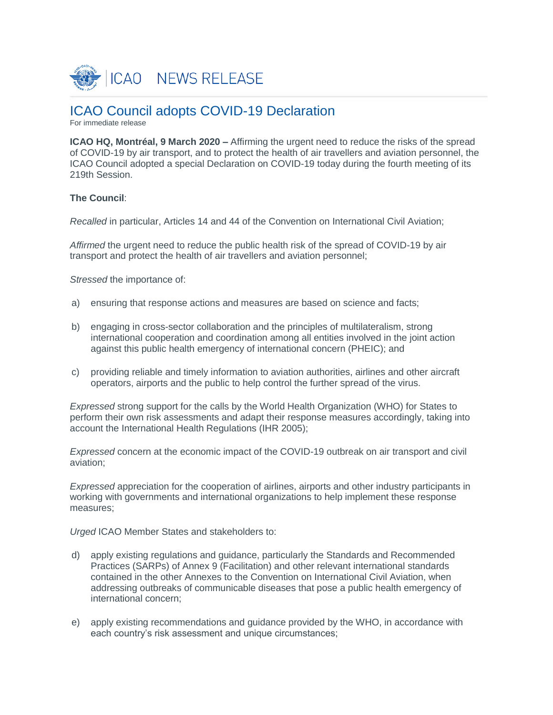

# ICAO Council adopts COVID-19 Declaration

For immediate release

**ICAO HQ, Montréal, 9 March 2020 –** Affirming the urgent need to reduce the risks of the spread of COVID-19 by air transport, and to protect the health of air travellers and aviation personnel, the ICAO Council adopted a special Declaration on COVID-19 today during the fourth meeting of its 219th Session.

## **The Council**:

*Recalled* in particular, Articles 14 and 44 of the Convention on International Civil Aviation;

*Affirmed* the urgent need to reduce the public health risk of the spread of COVID-19 by air transport and protect the health of air travellers and aviation personnel;

*Stressed* the importance of:

- a) ensuring that response actions and measures are based on science and facts;
- b) engaging in cross-sector collaboration and the principles of multilateralism, strong international cooperation and coordination among all entities involved in the joint action against this public health emergency of international concern (PHEIC); and
- c) providing reliable and timely information to aviation authorities, airlines and other aircraft operators, airports and the public to help control the further spread of the virus.

*Expressed* strong support for the calls by the World Health Organization (WHO) for States to perform their own risk assessments and adapt their response measures accordingly, taking into account the International Health Regulations (IHR 2005);

*Expressed* concern at the economic impact of the COVID-19 outbreak on air transport and civil aviation;

*Expressed* appreciation for the cooperation of airlines, airports and other industry participants in working with governments and international organizations to help implement these response measures;

*Urged* ICAO Member States and stakeholders to:

- d) apply existing regulations and guidance, particularly the Standards and Recommended Practices (SARPs) of Annex 9 (Facilitation) and other relevant international standards contained in the other Annexes to the Convention on International Civil Aviation, when addressing outbreaks of communicable diseases that pose a public health emergency of international concern;
- e) apply existing recommendations and guidance provided by the WHO, in accordance with each country's risk assessment and unique circumstances;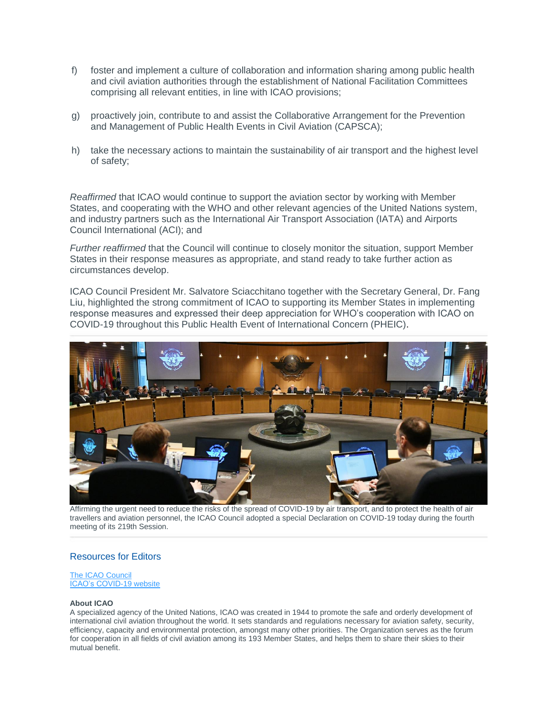- f) foster and implement a culture of collaboration and information sharing among public health and civil aviation authorities through the establishment of National Facilitation Committees comprising all relevant entities, in line with ICAO provisions;
- g) proactively join, contribute to and assist the Collaborative Arrangement for the Prevention and Management of Public Health Events in Civil Aviation (CAPSCA);
- h) take the necessary actions to maintain the sustainability of air transport and the highest level of safety;

*Reaffirmed* that ICAO would continue to support the aviation sector by working with Member States, and cooperating with the WHO and other relevant agencies of the United Nations system, and industry partners such as the International Air Transport Association (IATA) and Airports Council International (ACI); and

*Further reaffirmed* that the Council will continue to closely monitor the situation, support Member States in their response measures as appropriate, and stand ready to take further action as circumstances develop.

ICAO Council President Mr. Salvatore Sciacchitano together with the Secretary General, Dr. Fang Liu, highlighted the strong commitment of ICAO to supporting its Member States in implementing response measures and expressed their deep appreciation for WHO's cooperation with ICAO on COVID-19 throughout this Public Health Event of International Concern (PHEIC).



Affirming the urgent need to reduce the risks of the spread of COVID-19 by air transport, and to protect the health of air travellers and aviation personnel, the ICAO Council adopted a special Declaration on COVID-19 today during the fourth meeting of its 219th Session.

## Resources for Editors

#### [The ICAO Council](https://www.icao.int/about-icao/Council/Pages/Council.aspx) [ICAO's COVID-19 website](https://www.icao.int/Security/COVID-19/Pages/default.aspx)

#### **About ICAO**

A specialized agency of the United Nations, ICAO was created in 1944 to promote the safe and orderly development of international civil aviation throughout the world. It sets standards and regulations necessary for aviation safety, security, efficiency, capacity and environmental protection, amongst many other priorities. The Organization serves as the forum for cooperation in all fields of civil aviation among its 193 Member States, and helps them to share their skies to their mutual benefit.